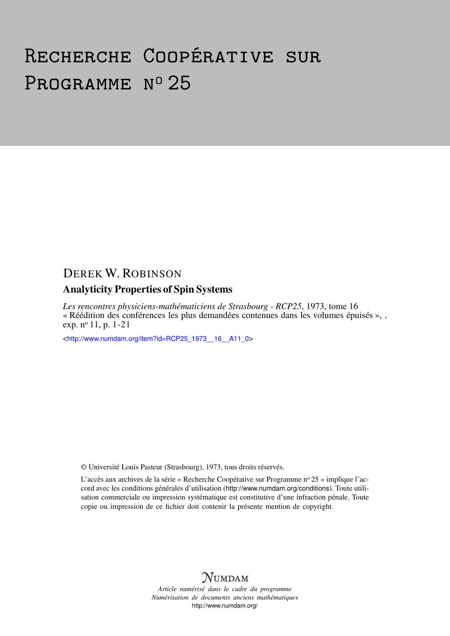# Recherche Coopérative sur PROGRAMME Nº 25

## DEREK W. ROBINSON

### Analyticity Properties of Spin Systems

*Les rencontres physiciens-mathématiciens de Strasbourg - RCP25*, 1973, tome 16 « Réédition des conférences les plus demandées contenues dans les volumes épuisés », , exp. n<sup>o</sup> 11, p. 1-21

<[http://www.numdam.org/item?id=RCP25\\_1973\\_\\_16\\_\\_A11\\_0](http://www.numdam.org/item?id=RCP25_1973__16__A11_0)>

© Université Louis Pasteur (Strasbourg), 1973, tous droits réservés.

L'accès aux archives de la série « Recherche Coopérative sur Programme nº 25 » implique l'accord avec les conditions générales d'utilisation (<http://www.numdam.org/conditions>). Toute utilisation commerciale ou impression systématique est constitutive d'une infraction pénale. Toute copie ou impression de ce fichier doit contenir la présente mention de copyright.



*Article numérisé dans le cadre du programme Numérisation de documents anciens mathématiques* <http://www.numdam.org/>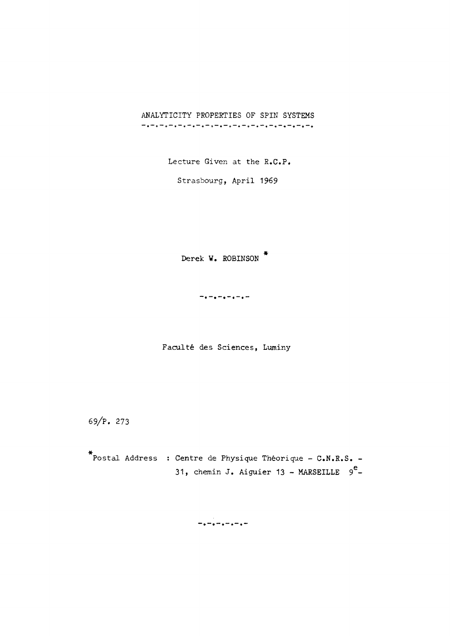ANALYTICITY PROPERTIES OF SPIN SYSTEMS 

Lecture Given at the R.C.P.

Strasbourg, April 1969

Derek W. ROBINSON \*

Faculté des Sciences, Luminy

69/P. 273

Postal Address : Centre de Physique Théorique - C.N.R.S. - 31, chemin J. Aiguier 13 - MARSEILLE  $9^e$ -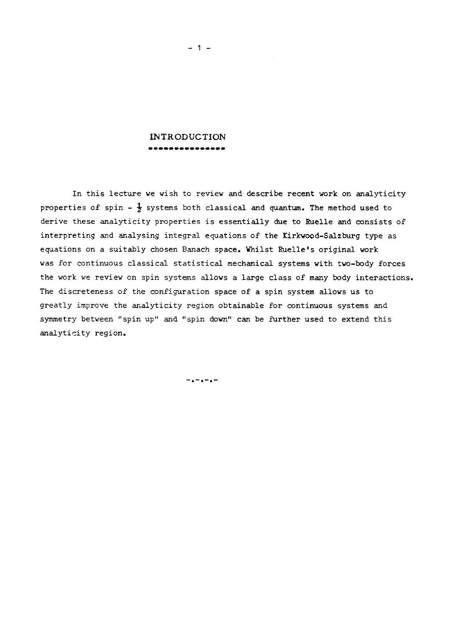#### **INTRODUCTION**  ---------------

In this lecture we wish to review and describe recent work on analyticity properties of spin -  $\frac{1}{2}$  systems both classical and quantum. The method used to derive these analyticity properties is essentially due to Euelle and consists of interpreting and analysing integral equations of the Kirkwood-Salzburg type as equations on a suitably chosen Banach space. Whilst Ruelle's original work was for continuous classical statistical mechanical systems with two-body forces the work we review on spin systems allows a large class of many body interactions. The discreteness of the configuration space of a spin system allows us to greatly improve the analyticity region obtainable for continuous systems and symmetry between "spin up" and "spin down" can be further used to extend this analyticity region.

 $\frac{1}{2}$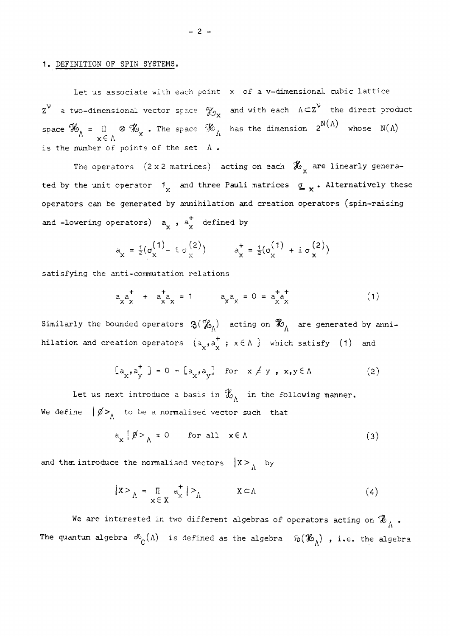#### 1. DEFINITION OF SPIN SYSTEMS.

Let us associate with each point x of a v-dimensional cubic lattice  $z^{\nu}$  a two-dimensional vector space  $\mathcal{Y}_{\infty}$  and with each  $\Lambda \subset Z^{\nu}$  the direct product  $\frac{\partial \mathcal{Y}_X}{\partial \mathbf{X}}$  and with each  $\frac{1}{2}$ space  $\mathcal{X}_\Lambda$  =  $\begin{bmatrix} \mathbb{I} & \otimes & \mathcal{X}_\Lambda \end{bmatrix}$ . The space  $\mathcal{Y}_\Lambda$  has the dimension  $2^{N \setminus N}$  whose  $\begin{bmatrix} N(\Lambda) \end{bmatrix}$  $x \in \Lambda$ is the number of points of the set A .

The operators (2 x 2 matrices) acting on each  $\mathscr{X}_{y}$  are linearly generated by the unit operator  $1$ , and three Pauli matrices  $g \rightarrow$  Alternatively these operators can be generated by annihilation and creation operators (spin-raising and -lowering operators)  $a^{\dagger}_x$ ,  $a^{\dagger}_x$  defined by

$$
a_x = \frac{1}{2}(\sigma_x^{(1)} - i \sigma_x^{(2)}) \qquad a_x^+ = \frac{1}{2}(\sigma_x^{(1)} + i \sigma_x^{(2)})
$$

satisfying the anti-commutation relations

$$
a_{X \t X}^{*} + a_{X \t X}^{*} = 1 \t a_{X \t X}^{*} = 0 = a_{X \t X}^{*} \t (1)
$$

Similarly the bounded operators  $\mathfrak{B}(\mathcal{K}_{\Lambda})$  acting on  $\mathcal{K}_{\Lambda}$  are generated by annihilation and creation operators  $\{a_{\downarrow}, a_{\downarrow}^{\dagger} : x \in \Lambda \}$  which satisfy  $(1)$  and

$$
[a_x, a_y^{\dagger}] = 0 = [a_x, a_y] \text{ for } x \neq y, x, y \in \Lambda
$$
 (2)

Let us next introduce a basis in  $\mathcal{X}_{\Lambda}$  in the following manner. We define  $\oint_{\Lambda}$  to be a normalised vector such that

$$
a_x \mid \emptyset > \Lambda = 0 \quad \text{for all} \quad x \in \Lambda \tag{3}
$$

and then introduce the normalised vectors  $\begin{cases} X > 0 \\ -N \end{cases}$  by

$$
|X>_{\Lambda} = \prod_{x \in X} a_x^+ | >_{\Lambda} X \subset \Lambda
$$
 (4)

We are interested in two different algebras of operators acting on  $\mathscr{X}_{\wedge}$  .  $\mathbf{A}$ The quantum algebra  $\infty_{\mathbb{O}}(\Lambda)$  is defined as the algebra  $\mathfrak{b}(\mathscr{X}_\Lambda)$  , i.e. the algebra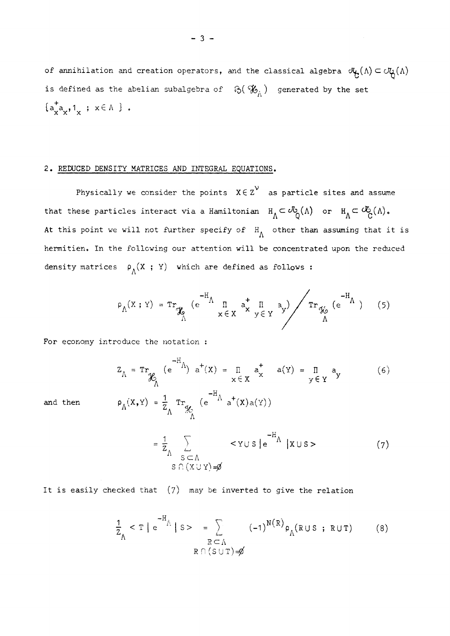of annihilation and creation operators, and the classical algebra  $\mathcal{F}_{\Theta}(\Lambda) \subset \mathcal{O}_{\mathbb{Q}}(\Lambda)$ is defined as the abelian subalgebra of  $\left(\mathcal{K}_{\alpha}\right)$  generated by the set  $\{a^{\dagger}_{x} a_{x}, 1_{x}; x \in \Lambda \}$ .

#### *2.* REDUCED DENSITY MATRICES AND INTEGRAL EQUATIONS,

Physically we consider the points  $x \in z^{\vee}$  as particle sites and assume that these particles interact via a Hamiltonian  $H_{\Lambda} \subset \mathcal{F}_{\Omega}(\Lambda)$  or  $H_{\Lambda} \subset \mathcal{F}_{\Omega}(\Lambda)$ . At this point we will not further specify of  $H^{\wedge}_{\Lambda}$  other than assuming that it is hermitien. In the following our attention will be concentrated upon the reduced density matrices  $\rho_{\Lambda}(X; Y)$  which are defined as follows:

$$
\rho_{\Lambda}(X;Y) = \operatorname{Tr}_{\mathcal{K}_{\Lambda}} \left( e^{-H_{\Lambda}} \prod_{x \in X} a_{x}^{+} \prod_{y \in Y} a_{y} \right) / \operatorname{Tr}_{\mathcal{K}_{\Lambda}} \left( e^{-H_{\Lambda}} \right) \qquad (5)
$$

$$
Z_{\Lambda} = \text{Tr}_{\mathcal{H}_{\Lambda}} (e^{-H_{\Lambda}}) a^{+}(x) = \prod_{x \in X} a_{x}^{+} a(y) = \prod_{y \in Y} a_{y}
$$
(6)  
and then  

$$
\rho_{\Lambda}(x, y) = \frac{1}{Z_{\Lambda}} \text{Tr}_{\mathcal{H}_{\Lambda}} (e^{-H_{\Lambda}} a^{+}(x) a(y))
$$

and then

$$
= \frac{1}{Z} \sum_{\substack{S \subset \Lambda \\ S \cap (X \cup Y) = \emptyset}} \langle Y \cup S | e^{-H} \mid X \cup S \rangle
$$
 (7)

It is easily checked that  $(7)$  may be inverted to give the relation

$$
\frac{1}{Z_{\Lambda}} < T \mid e^{-H_{\Lambda}} \mid S> = \sum_{\substack{R \subset \Lambda \\ R \cap (S \cup T) = \emptyset}} (-1)^{N(R)} \rho_{\Lambda}(R \cup S ; R \cup T) \tag{8}
$$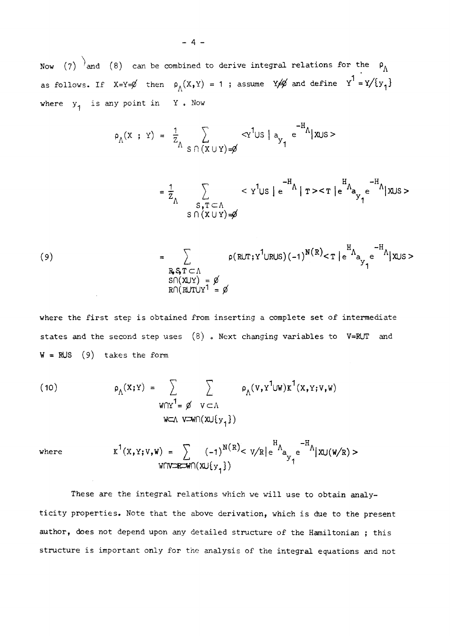Now (7)  $\overline{a}$  and (8) can be combined to derive integral relations for the  $\rho_A$ as follows. If  $X=Y=\emptyset$  then  $\rho_{\Lambda}(X,Y) = 1$ ; assume  $Y \neq \emptyset$  and define  $Y^1 = Y/(y_1)$ where  $y_1$  is any point in Y. Now

$$
\rho_{\Lambda}(x \ ; \ y) = \frac{1}{z_{\Lambda}} \sum_{S \cap (x \cup y) = \emptyset} \langle x^1 \cup s \mid a_{y_1} e^{-H_{\Lambda}} | x \cup s \rangle
$$

$$
= \frac{1}{z_{\Lambda}} \sum_{\substack{S,T \subset \Lambda \\ S \cap (X \cup Y) = \emptyset}} < y^1 \cup s \mid e^{-H_{\Lambda}} \mid r > < T \mid e^{-H_{\Lambda}} \big|_{\mathcal{F}_1} e^{-H_{\Lambda}} \mid x \cup s > \big|_{\mathcal{F}_2} e^{-H_{\Lambda}} \mid x \cup s > \big|_{\mathcal{F}_3} e^{-H_{\Lambda}} \mid x \cup s > \big|_{\mathcal{F}_4} e^{-H_{\Lambda}} \mid x \cup s > \big|_{\mathcal{F}_5} e^{-H_{\Lambda}} \mid x \cup s > \big|_{\mathcal{F}_6} e^{-H_{\Lambda}} \mid x \cup s > \big|_{\mathcal{F}_7} e^{-H_{\Lambda}} \mid x \cup s > \big|_{\mathcal{F}_8} e^{-H_{\Lambda}} \mid x \cup s > \big|_{\mathcal{F}_9} e^{-H_{\Lambda}} \mid x \cup s > \big|_{\mathcal{F}_9} e^{-H_{\Lambda}} \mid x \cup s > \big|_{\mathcal{F}_9} e^{-H_{\Lambda}} \mid x \cup s > \big|_{\mathcal{F}_9} e^{-H_{\Lambda}} \mid x \cup s > \big|_{\mathcal{F}_9} e^{-H_{\Lambda}} \mid x \cup s > \big|_{\mathcal{F}_9} e^{-H_{\Lambda}} \mid x \cup s > \big|_{\mathcal{F}_9} e^{-H_{\Lambda}} \mid x \cup s > \big|_{\mathcal{F}_9} e^{-H_{\Lambda}} \mid x \cup s > \big|_{\mathcal{F}_9} e^{-H_{\Lambda}} \mid x \cup s > \big|_{\mathcal{F}_9} e^{-H_{\Lambda}} \mid x \cup s > \big|_{\mathcal{F}_9} e^{-H_{\Lambda}} \mid x \cup s > \big|_{\mathcal{F}_9} e^{-H_{\Lambda}} \mid x \cup s > \big|_{\mathcal{F}_9} e^{-H_{\Lambda}} \mid x \cup s > \big|_{\mathcal{F}_9} e^{-H_{\Lambda}} \mid x \cup s > \big|_{\mathcal{F}_9} e^{-H_{\Lambda}} \mid x \cup s > \big|_{\mathcal{F}_9} e^{-H_{\Lambda}} \mid x \cup s > \big|_{\mathcal{F}_9} e
$$

(9) 
$$
= \sum_{\substack{R,S,T \subset \Lambda \\ S\cap (X\cup Y) = \emptyset \\ R\cap (R\cup T\cup Y^1 = \emptyset}} \rho(R\cup T;Y^1\cup R\cup S)(-1)^{N(R)} < T \mid e^{H_{\Lambda}}_{3}e^{-H_{\Lambda}}|X\cup S>
$$

where the first step is obtained from inserting a complete set of intermediate states and the second step uses  $(8)$  . Next changing variables to V=RUT and  $W = RUS$  (9) takes the form

(10) 
$$
\rho_{\Lambda}(x;Y) = \sum_{W \cap Y^1 = \emptyset} \sum_{V \subset \Lambda} \rho_{\Lambda}(V,Y^1 \cup W) \kappa^1(x,Y;V,W)
$$
  
 
$$
W \subset \Lambda \text{ V} \subset \Lambda
$$

where 
$$
K^{1}(X,Y;V,W) = \sum_{W \cap V \subseteq W \cap (X \cup \{y_{1}\})} (-1)^{N(R)} < V/R \mid e^{H} \wedge_{B_{Y_{1}}} e^{-H} \wedge |X \cup (W/R) >
$$

These are the integral relations which we will use to obtain analyticity properties. Note that the above derivation, which is due to the present author, does not depend upon any detailed structure of the Hamiltonian ; this structure is important only for the analysis of the integral equations and not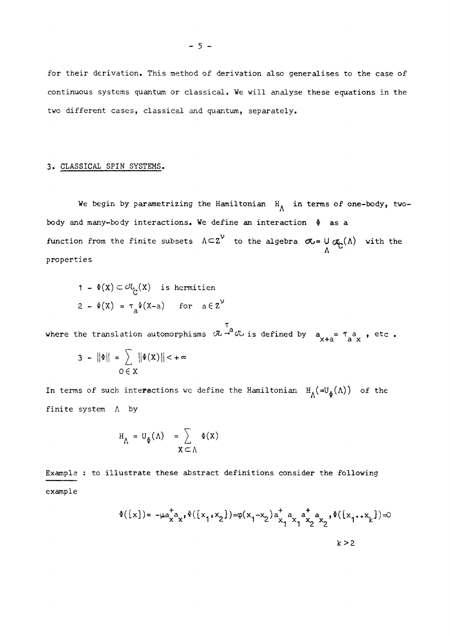for their derivation. This method of derivation also generalises to the case of continuous systems quantum or classical. We will analyse these equations in the two different cases, classical and quantum, separately.

#### 3. CLASSICAL SPIN SYSTEMS.

We begin by parametrizing the Hamiltonian  $H_{\Lambda}$  in terms of one-body, twobody and many-body interactions. We define an interaction  $\Phi$  as a function from the finite subsets  $\Lambda \subset Z^V$  to the algebra  $\sigma$ u=  $\cup$   $\sigma$ <sub>c</sub>( $\Lambda$ ) with the properties

$$
1 - \Phi(X) \subset \mathcal{O}_{C}(X) \text{ is hermitien}
$$
  

$$
2 - \Phi(X) = \tau_{a} \Phi(X - a) \text{ for } a \in Z^{\mathcal{V}}
$$

 $\mathcal{L}$ а, where the translation automorphisms  $\infty$  volts defined by  $\alpha$   $\alpha$  a  $\alpha$  ,  $\alpha$  ,  $\alpha$ 

$$
3 - ||\Phi|| = \sum_{O \in X} ||\Phi(X)|| < +\infty
$$

In terms of such interactions we define the Hamiltonian  $H_{\Lambda}(\equiv U_{\Phi}(\Lambda))$  of the finite system  $\Lambda$  by

$$
H_{\Lambda} = U_{\Phi}(\Lambda) = \sum_{X \subset \Lambda} \Phi(X)
$$

Example : to illustrate these abstract definitions consider the following example

$$
\Phi(\{x\}) = -\mu a_{x}^{+} a_{x}, \Phi(\{x_{1}, x_{2}\}) = \varphi(x_{1}^{-} x_{2}) a_{x_{1}}^{+} a_{x_{1}}^{+} a_{x_{2}}^{+} a_{x_{2}}^{+}, \Phi(\{x_{1}, x_{k}\}) = 0
$$
  

$$
k > 2
$$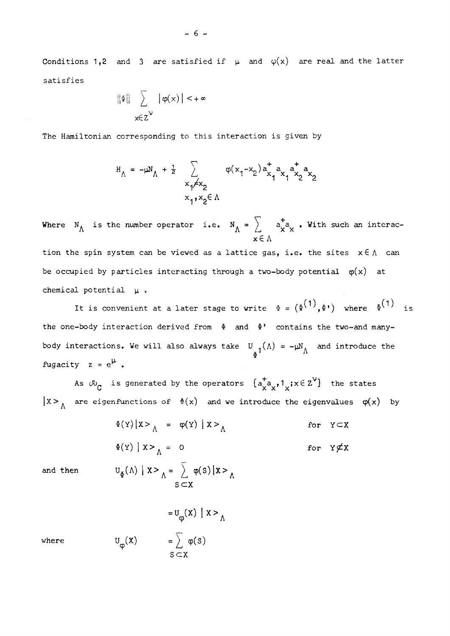Conditions 1,2 and 3 are satisfied if  $\mu$  and  $\varphi(x)$  are real and the latter satisfies

$$
\|\Phi\| \sum_{\mathbf{x} \in \mathbb{Z}^{\mathcal{V}}} |\phi(\mathbf{x})| < +\infty
$$

The Hamiltonian corresponding to this interaction is given by

$$
H_{\Lambda} = -\mu N_{\Lambda} + \frac{1}{2} \sum_{\substack{x_1 \neq x_2 \\ x_1, x_2 \in \Lambda}} \varphi(x_1 - x_2) a_{x_1}^{\dagger} a_{x_1} a_{x_2}^{\dagger} a_{x_2}
$$

 $\int$  + where  $M$  is the number operator i.e.  $M / L$   $\overline{X} \overline{X}$  , where onen ar interaction  $\mathbf{x} \in \Lambda$ 

tion the spin system can be viewed as a lattice gas, i.e. the sites  $x \in \Lambda$  can be occupied by particles interacting through a two-body potential  $\varphi(x)$  at chemical potential  $\mu$ .

It is convenient at a later stage to write  $\Phi = (\Phi^{(1)}, \Phi^*)$  where  $\Phi^{(1)}$ the one-body interaction derived from  $\Phi$  and  $\Phi$ ' contains the two-and manybody interactions. We will also always take  $U_{\mu 1}(\Lambda) = -\mu N_{\Lambda}$  and introduce the fugacity  $z = e^{\mu}$ .

As  $\tilde{w}_C$  is generated by the operators  $\{a^+_{x}a^x, 1_x; x \in Z^V\}$  the states are eigenfunctions of  $\Phi(x)$  and we introduce the eigenvalues  $\phi(x)$ 

$$
\Phi(Y) | X >_{\Lambda} = \phi(Y) | X >_{\Lambda}
$$
 for  $Y \subset X$   

$$
\Phi(Y) | X >_{\Lambda} = 0
$$
 for  $Y \not\subset X$   
for  $Y \not\subset X$   
for  $Y \not\subset X$   
d then 
$$
U_{\Phi}(\Lambda) | X >_{\Lambda} = \sum \phi(S) | X >_{\Lambda}
$$

and then

$$
U_{\phi}(x) = \sum_{s \subset x} \phi(s)
$$

where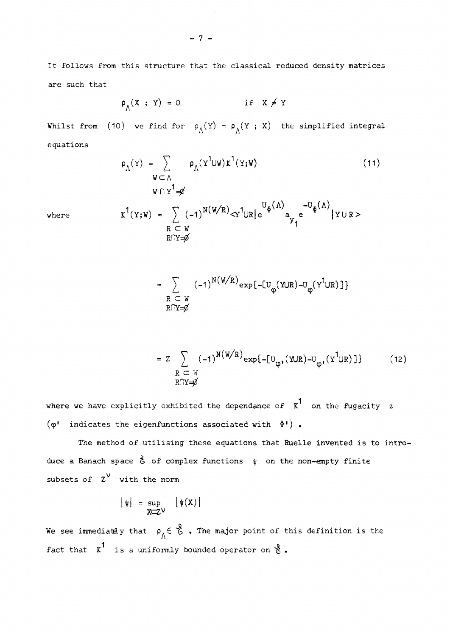It follows from this structure that the classical reduced density matrices are such that

$$
\rho_{\Lambda}(X ; Y) = 0 \qquad \text{if} \quad X \neq Y
$$

Whilst from (10) we find for  $\rho_{\Lambda}(Y) = \rho_{\Lambda}(Y; X)$  the simplified integral equations

$$
\rho_{\Lambda}(Y) = \sum_{W \subset \Lambda} \rho_{\Lambda}(Y^{1} \cup W) \kappa^{1}(Y;W)
$$
\n
$$
W \cap Y^{1} = \phi
$$
\n
$$
W \cap Y^{1} = \phi
$$
\nwhere\n
$$
K^{1}(Y;W) = \sum_{R \subset W} (-1)^{N(W/R)} < Y^{1} \cup R \mid e^{U_{\Phi}(\Lambda)} \sim U_{\Phi}(\Lambda) \quad |Y \cup R>
$$
\n
$$
R \cap Y = \phi
$$
\n(11)

$$
= \sum_{\substack{R \subset W \\ R \cap Y = \emptyset}} (-1)^{N(W/R)} \exp\{-U_{\phi}(Y \cup R) - U_{\phi}(Y^1 \cup R)\}\}
$$

$$
= Z \sum_{\substack{R \subset W \\ R \cap Y = \emptyset}} (-1)^{N(W/R)} \exp\{-[U_{\phi}, (YUR) - U_{\phi}, (Y^1UR)]\} \tag{12}
$$

where we have explicitly exhibited the dependance of  $\kappa^1$  on the fugacity z  $(\varphi^{\dagger}$  indicates the eigenfunctions associated with  $\Phi^{\dagger})$ .

The method of utilising these equations that Ruelle invented is to intro- $\mathcal{L}_{\text{max}}$ duce a Banach space & of complex functions i on the non-empty finite subsets of  $z^{\nu}$  with the norm

$$
|\psi| = \sup_{X \subset Z^{\vee}} |\psi(X)|
$$

We see immediately that  $\rho^{\text{G}}_{\Lambda} \in \mathcal{E}$  . The major point of this definition is the fact that  $K^1$  is a uniformly bounded operator on  $\delta$ .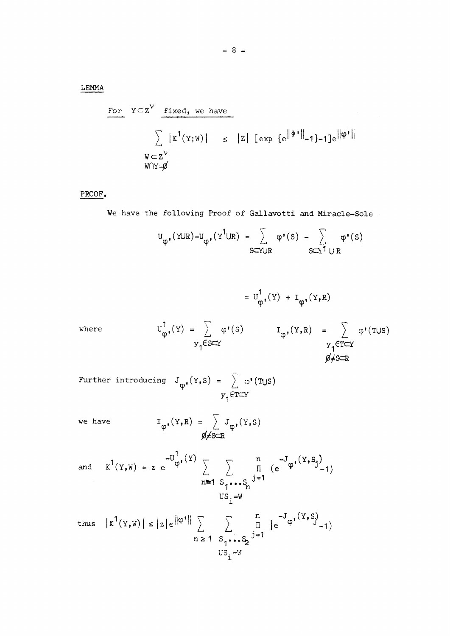LEMMA

For 
$$
Y \subset Z^V
$$
 fixed, we have  
\n
$$
\sum |K^1(Y;W)| \leq |Z| [\exp {\{e^{\|\phi^*\|_{-1}\}-1\}}e^{\|\phi^*\|_{-1}}]
$$
\n
$$
W \subset Z^V
$$
\n
$$
W \cap Y = \emptyset
$$

PROOF.

We have the following Proof of Gallavotti and Miracle-Sole

$$
U_{\phi^*}(YUR) - U_{\phi^*}(Y^1UR) = \sum_{S\subset YUR} \varphi^*(S) - \sum_{S\subset YUR} \varphi^*(S)
$$

where  
\n
$$
U_{\phi}^{1}(Y) = \sum_{Y_{1} \in S \subseteq Y} \varphi^{1}(S) \qquad I_{\phi}^{1}(Y,R) = \sum_{Y_{1} \in T \subseteq Y} \varphi^{1}(TUS)
$$
\n
$$
U_{\phi}^{1}(Y) = \sum_{Y_{1} \in S \subseteq Y} \varphi^{1}(S) \qquad I_{\phi}^{1}(Y,R) = \sum_{Y_{1} \in T \subseteq Y} \varphi^{1}(TUS)
$$
\n
$$
\varphi \neq S \subseteq R
$$

Further introducing 
$$
J_{\phi}(\Upsilon, S) = \sum_{y_1 \in T \subset \Upsilon} \phi^*(T \cup S)
$$

we have 
$$
I_{\phi^*}(Y,R) = \sum_{\emptyset \neq S \subset \mathbb{R}} J_{\phi^*}(Y,S)
$$

and 
$$
K^1(Y,W) = z e^{-U^1_{\phi^*}(Y)} \sum_{n=1}^{\infty} \sum_{\substack{S_1 \cdots S_n \\ S_1 \cdots S_n}} \prod_{j=1}^n (e^{-U_{\phi^*}(Y, S_j)} - 1)
$$
  
 $US_i = W$ 

thus 
$$
|\kappa^{1}(Y, W)| \leq |z|e^{\|\phi^*\|} \sum_{n \geq 1} \sum_{\substack{S_1 \cdot \cdot \cdot S_2 \\ U S_i = W}} \prod_{j=1}^{n} |e^{-J} \phi^{(Y, S_j)} - 1 \rangle
$$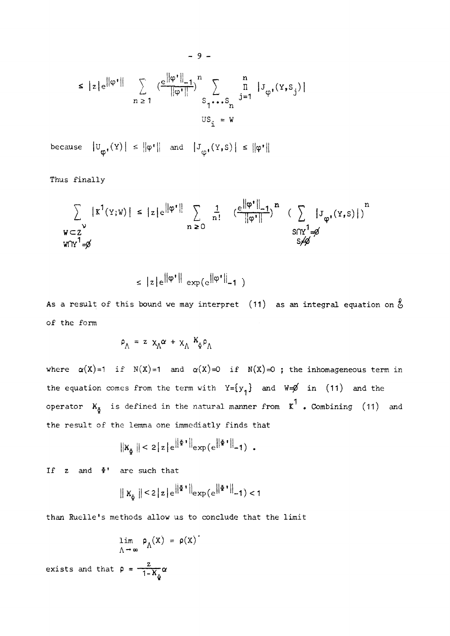$$
\leq |z|e^{\|\varphi^{\bullet}\|} \sum_{n\geq 1} \left(\frac{e^{\|\varphi^{\bullet}\|_{-1}}}{\|\varphi^{\bullet}\|}\right)^n \sum_{S_1 \bullet \bullet \bullet S_n} \prod_{j=1}^n |J_{\varphi^{\bullet}}(Y, S_j)|
$$
  

$$
US_j = W
$$

because  $|U_{\phi}(\Upsilon)| \leq ||\phi^*||$  and  $|J_{\phi}(\Upsilon, S)| \leq ||\phi^*||$ 

Thus finally

$$
\sum_{\substack{\mathbf{w} \subset \mathbf{Z}^{\mathbf{y}} \\ \mathbf{w} \cap \mathbf{Y}^{1} = \mathbf{y}}} |\mathbf{x}^{1}(\mathbf{Y}; \mathbf{w})| \leq |z| e^{\|\varphi^{\mathbf{y}}\|} \sum_{\substack{\mathbf{n} \geq 0}} \frac{1}{\mathbf{n}!} \frac{e^{\|\varphi^{\mathbf{y}}\|} - 1}{\|\varphi^{\mathbf{y}}\|}^{n} \left( \sum_{\substack{\mathbf{S} \cap \mathbf{Y}^{1} = \mathbf{y} \\ \mathbf{S} \neq \mathbf{Y}}} |\mathbf{J}_{\varphi^{\mathbf{y}}}(\mathbf{Y}, \mathbf{S})| \right)^{n}
$$

$$
\leq |z|e^{||\varphi'||} \exp(e^{||\varphi'||}-1)
$$

As a result of this bound we may interpret (11) as an integral equation on  $\hat{\xi}$ of the form

$$
\rho_{\Lambda} = z \, x_{\Lambda} \alpha + x_{\Lambda} \, k_{\Phi} \rho_{\Lambda}
$$

where  $\alpha(X)=1$  if  $N(X)=1$  and  $\alpha(X)=0$  if  $N(X)=0$ ; the inhomogeneous term in the equation comes from the term with  $Y = \{y_1\}$  and  $W = \emptyset$  in (11) and the operator  $K_{\tilde{\Phi}}$  is defined in the natural manner from  $K^1$  . Combining (11) and the result of the lemma one immediatly finds that

$$
\|K_{\Phi}\| < 2|z|e^{\left\|\Phi\right\|}\|_{\exp\left(e^{\left\|\Phi\right\|}\right\|-1\right)} \enspace .
$$

If  $z$  and  $\Phi'$  are such that

$$
\| \mathbf{X}_{\Phi} \| < 2 \| \mathbf{z} \| e^{||\Phi||} \| \mathbf{e}_{\mathbf{X}\Phi} (e^{||\Phi||} - 1) < 1
$$

than Ruelle's methods allow us to conclude that the limit

$$
\lim_{\Lambda \to \infty} \rho_{\Lambda}(x) = \rho(x)
$$

$$
\rho = \frac{z}{\sqrt{2\pi}} \rho
$$

exists and that  $\rho = \frac{2}{1 - K_{\tilde{\varphi}}} \alpha$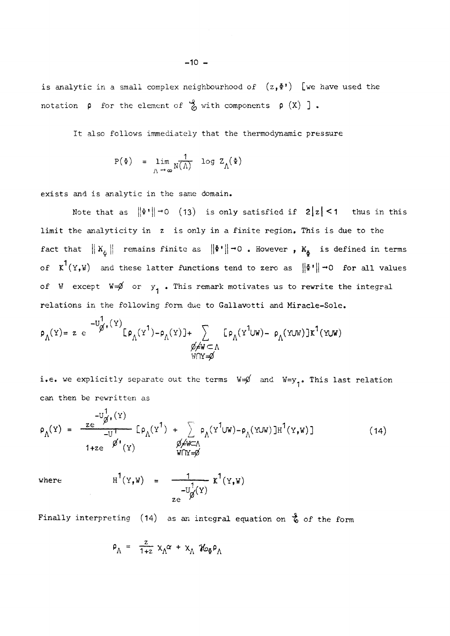is analytic in a small complex neighbourhood of  $(z, \Phi')$  [we have used the notation  $\rho$  for the element of  $\stackrel{\circ}{\circ}$  with components  $\rho$  (X) ].

It also follows immediately that the thermodynamic pressure

$$
P(\Phi) = \lim_{\Lambda \to \infty} \frac{1}{N(\Lambda)} \log Z_{\Lambda}(\Phi)
$$

exists and is analytic in the same domain.

Note that as  $\|\Phi^*\| \to 0$  (13) is only satisfied if  $2|z| < 1$  thus in this limit the analyticity in z is only in a finite region. This is due to the fact that  $|| K_{\tilde{\Phi}} ||$  remains finite as  $|| \Phi' || \rightarrow 0$  . However ,  $K_{\tilde{\Phi}}$  is defined in terms of  $K^1(Y,W)$  and these latter functions tend to zero as  $||\Phi^*||\rightarrow 0$  for all values of W except  $W=\emptyset$  or  $y^1$  • This remark motivates us to rewrite the integral relations in the following form due to Gallavotti and Miracle-Sole.

$$
\rho_{\Lambda}(Y) = z e^{-U_{\emptyset}^{\dagger}(\Upsilon)} [\rho_{\Lambda}(\Upsilon^{1}) - \rho_{\Lambda}(\Upsilon)] + \sum_{\substack{\emptyset \neq W \subset \Lambda \\ W \cap Y = \emptyset}} [\rho_{\Lambda}(\Upsilon^{1} \cup W) - \rho_{\Lambda}(\Upsilon \cup W)] \kappa^{1}(\Upsilon \cup W)
$$

i.e. we explicitly separate out the terms  $W=\emptyset$  and  $W=y_{\gamma}$ . This last relation can then be rewritten as

$$
\rho_{\Lambda}(Y) = \frac{ze^{-U_{\emptyset^{\bullet}}^{+}(Y)}}{-U_{-U}^{+}} \left[ \rho_{\Lambda}(Y^{1}) + \sum_{\emptyset \neq W \subset \Lambda} \rho_{\Lambda}(Y^{1}UW) - \rho_{\Lambda}(YUW) \right]H^{1}(Y,W)
$$
\n(14)

where 
$$
H^1(Y,W) = \frac{1}{Ze^{-U} \phi(Y)} \kappa^1(Y,W)
$$

$$
\rho_{\Lambda} = \frac{z}{1+z} \times_{\Lambda} \alpha + \times_{\Lambda} \Re \Phi_{\Lambda}
$$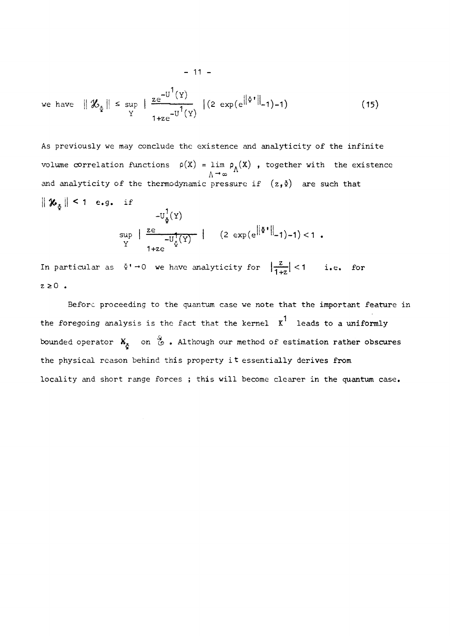we have 
$$
\|\mathcal{X}_{\tilde{\Phi}}\| \le \sup_{Y} \|\frac{ze^{-U^1(Y)}}{1+ze^{-U^1(Y)}}\| (2 \exp(e^{\|\Phi^*\|_{-1})-1})
$$
 (15)

As previously we may conclude the existence and analyticity of the infinite volume correlation functions  $\rho(X)$  = lim  $\rho_{\Lambda}(X)$  , together with the existence  $V \rightarrow \infty$  $\|\mathcal{X}_{\delta}\| \leq 1$  e.g. if  $-U_{\Phi}^{1}(Y)$  $\sum_{i=1}^{\infty} \frac{z e^{iz}}{z^2 + 1}$  (2 exp(e $\left\| \Phi^* \right\|_{-1}$ )-1)-1

$$
\frac{\sup}{Y} \left\{ \frac{-U_{\zeta}^{T}(Y)}{1+ze} \right\}^{T} \left\{ \frac{2}{3} \exp(e^{i\theta} - i\theta - 1) - 1 \right\} < 1.8
$$

In particular as  $\Phi^* \rightarrow 0$  we have analyticity for  $\left|\frac{z}{1+z}\right| < 1$  i.e. for  $z \geq 0$  .

Before proceeding to the quantum case we note that the important feature in the foregoing analysis is the fact that the kernel  $x^1$  leads to a uniformly bounded operator  $K_{\tilde{\sigma}}$  on  $\stackrel{G}{\circ}$  . Although our method of estimation rather obscures the physical reason behind this property it essentially derives from locality and short range forces ; this will become clearer in the quantum case.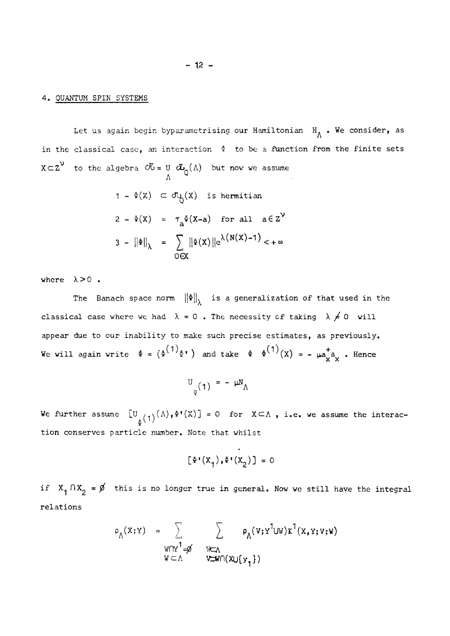#### 4. QUANTUM SPIN SYSTEMS

Let us again begin byparametrising our Hamiltonian  $H^{\bullet}$  • We consider, as in the classical case, an interaction  $\Phi$  to be a function from the finite sets  $X\subset Z$  to the algebra  $\mathcal{O}G = U \subset \mathcal{L}_{\Omega}(\Lambda)$  but now we assume

$$
1 - \Phi(X) \subset \sigma_{Q}(X) \text{ is hermitian}
$$
\n
$$
2 - \Phi(X) = \tau_{a} \Phi(X-a) \text{ for all } a \in \mathbb{Z}^{\mathbb{V}}
$$
\n
$$
3 - ||\Phi||_{\lambda} = \sum_{O \in X} ||\Phi(X)||e^{\lambda(N(X)-1)} < +\infty
$$

A

where  $\lambda > 0$ .

The Banach space norm  $\|\Phi\|_{\lambda}$  is a generalization of that used in the classical case where we had  $\lambda = 0$ . The necessity of taking  $\lambda \neq 0$  will appear due to our inability to make such precise estimates, as previously. We will again write  $\mathbb{P} = (\mathbb{P}^{\wedge}/\mathbb{P}^{\wedge})$  and take  $\mathbb{P} = \mathbb{P}^{\wedge}/(X) = - \mu_{\mathbb{P}^{\wedge}} X^*$ . Hence

$$
U_{\varrho}(1) = - \mu N_{\Lambda}
$$

We further assume  $[U_{\stackrel{\delta}{\alpha}}(1)^{(\Lambda)}, \Phi^{\dagger}(X)] = 0$  for  $X \subset \Lambda$ , i.e. we assume the interaction conserves particle number. Note that whilst

$$
[\Phi^*(\mathbf{X}_1), \Phi^*(\mathbf{X}_2)] = 0
$$

if  $X_1 \cap X_2 = \emptyset$  this is no longer true in general. Now we still have the integral relations

$$
\rho_{\Lambda}(x; y) = \sum_{\substack{W \cap Y^1 = \emptyset \\ W \subset \Lambda}} \sum_{\substack{W \subset \Lambda \\ V \subset W \cap (X \cup \{y_1\})}} \rho_{\Lambda}(v; y^1 \cup W) x^1(x, y; v; w)
$$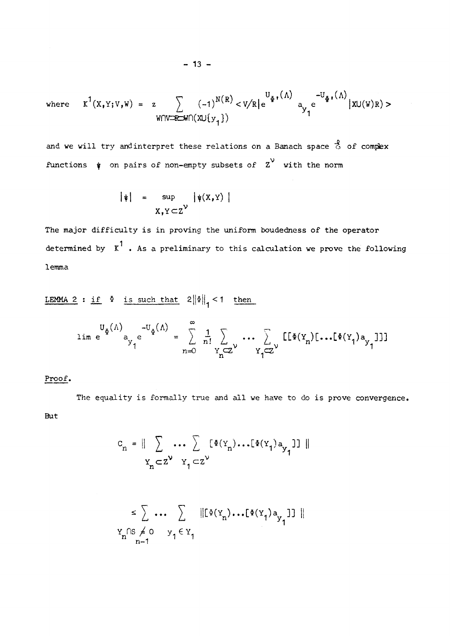where 
$$
K^1(X,Y;V,W) = z \sum_{W \cap V \to \mathbb{R} \to W} (-1)^{N(R)} < V/R
$$
 e<sup>U</sup> <sub>$\Phi$</sub>  <sup>$\Phi$</sup>  <sup>$\phi$</sup>  <sup>$\Phi$</sup>  <sup>$\Phi$</sup>  <sup>$\Phi$</sup>  <sup>$\Phi$</sup>  <sup>$\Phi$</sup>  <sup>$\Phi$</sup>  <sup>$\Phi$</sup>  <sup>$\Phi$</sup>  <sup>$\Phi$</sup>  <sup>$\Phi$</sup>  <sup>$\Phi$</sup>  <sup>$\Phi$</sup>  <sup>$\Phi$</sup>  <sup>$\Phi$</sup>  <sup>$\Phi$</sup>  <sup>$\Phi$</sup>  <sup>$\Phi$</sup>  <sup>$\Phi$</sup>  <sup>$\Phi$</sup>  <sup>$\Phi$</sup>  <sup>$\Phi$</sup>  <sup>$\Phi$</sup>  <sup>$\Phi$</sup>  <sup>$\Phi$</sup>  <sup>$\Phi$</sup>  <sup>$\Phi$</sup>  <sup>$\Phi$</sup>  <sup>$\Phi$</sup>  <sup>$\Phi$</sup>  <sup>$\Phi$</sup>  <sup>$\Phi$</sup>  <sup>$\Phi$</sup>  <sup>$\Phi$</sup>  <sup>$\Phi$</sup>  <sup>$\Phi$</sup>  <sup>$\Phi$</sup>  <sup>$\Phi$</sup>  <sup>$\Phi$</sup>  <sup>$\Phi$</sup>  <sup>$\Phi$</sup>  <sup>$\Phi$</sup>  <sup>$\Phi$</sup>  <sup>$\Phi$</sup>  <sup>$\Phi$</sup>  <sup>$\Phi$</sup>  <sup>$\Phi$</sup>  <sup>$\Phi$</sup>  <sup>$\Phi$</sup>  <sup>$\Phi$</sup>  <sup>$\Phi$</sup>  <sup>$\Phi$</sup>  <sup>$\Phi$</sup>  <sup>$\Phi$</sup>  <sup>$\Phi$</sup>  <sup>$\Phi$</sup>  <sup>$\Phi$</sup>  <sup>$\Phi$</sup> 

and we will try and interpret these relations on a Banach space  $\stackrel{2}{\circ}$  of complex functions  $\psi$  on pairs of non-empty subsets of  $\chi^V$  with the norm

$$
|\psi| = \sup_{X, Y \subset Z^{\mathcal{V}}} |\psi(X, Y)|
$$

The major difficulty is in proving the uniform boudedness of the operator determined by  $\kappa^1$ . As a preliminary to this calculation we prove the following lemma

LEMMA 2 : if  $\Phi$  is such that  $2||\Phi||_1 < 1$  then

$$
\lim_{n \to \infty} e^{-U_{\Phi}(\Lambda)} = \sum_{n=0}^{\infty} \frac{1}{n!} \sum_{Y_n \subset Z^{\vee}} \cdots \sum_{Y_j \subset Z^{\vee}} [[\Phi(Y_n) [\cdots [\Phi(Y_j) a_{Y_j}]]]
$$

#### Proof.

The equality is formally true and all we have to do is prove convergence. But

$$
C_n = || \sum_{Y_n \subset Z^{\mathsf{V}}} \dots \sum_{Y_1 \subset Z^{\mathsf{V}}} [\Phi(Y_n) \dots [\Phi(Y_1) a_{Y_1}] ] ||
$$

$$
\leq \sum_{n=1}^{\infty} \cdots \sum_{n=1}^{\infty} \|\left[\Phi(Y_n) \cdots \left[\Phi(Y_1) a_{y_1}\right] \right] \|
$$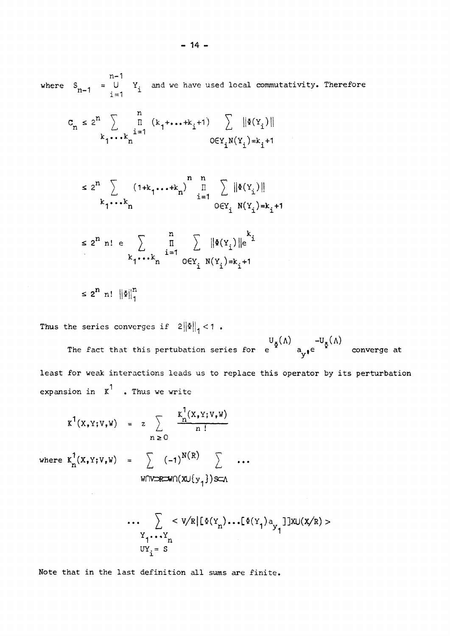where  $S_{n-1} = U Y_i$  and we have used local commutativity. Therefore

$$
C_n \le 2^n \sum_{k_1 \cdots k_n} \prod_{i=1}^n (k_1 + \cdots + k_i + 1) \sum_{0 \in Y_i} ||\Phi(Y_i)||
$$

$$
\leq 2^{n} \sum_{k_1 \cdots k_n} (1+k_1 \cdots k_n)^{n} \prod_{i=1}^n \sum_{0 \in Y_i} ||\Phi(Y_i)||
$$

$$
\leq 2^{n} \text{ n! } \text{ e} \sum_{k_1,\ldots,k_n} \prod_{i=1}^{n} \sum_{O \in Y_i} ||\Phi(Y_i)||e^{k_i}
$$

$$
\leq 2^n
$$
 n!  $\left\| \Phi \right\|_1^n$ 

Thus the series converges if  $2\|\Phi\|_1 < 1$ .

The fact that this pertubation series for  $U_{\Phi}(\Lambda)$   $-U_{\Phi}(\Lambda)$  converge at converge at least for weak interactions leads us to replace this operator by its perturbation expansion in  $x^1$  . Thus we write

$$
K^{1}(X,Y;V,W) = z \sum_{n \geq 0} \frac{K_{n}^{T}(X,Y;V,W)}{n!}
$$

where  $K_n^1(X,Y;V,W) = \sum_{n=1}^{\infty} (-1)^{N(R)} \sum_{n=1}^{\infty} ...$  $\texttt{WOW}\texttt{R} \texttt{W} \cap (\texttt{X} \cup \{y_1\}) \texttt{S} \texttt{C} \Lambda$ 

$$
\cdots \sum_{\substack{Y_1 \cdots Y_n \\ UY_i = S}} < V/R | [\Phi(Y_n) \cdots [\Phi(Y_1) a_{Y_1}] ] X U(X/R) >
$$

Note that in the last definition all sums are finite.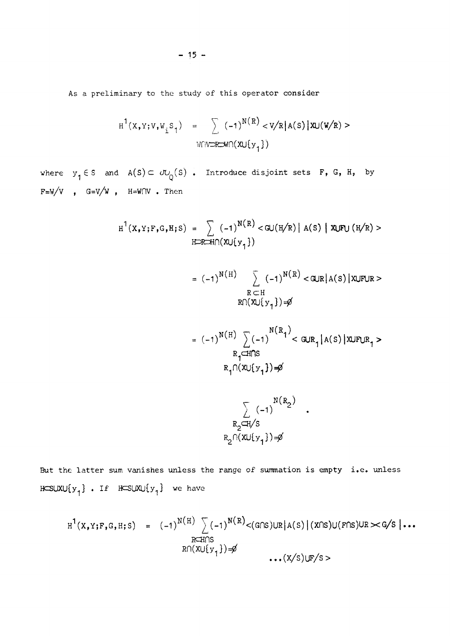As a preliminary to the study of this operator consider

$$
H^{1}(X,Y;V,W_{i}S_{1}) = \sum_{W[V\supset R\supset W\cap (X\cup \{y_{1}\})} (-1)^{N(R)} < V/R |A(S)| X \cup (W/R) >
$$

where  $y_1 \in S$  and  $A(S) \subset \partial U_Q(S)$ . Introduce disjoint sets F, G, H, by  $F=W/V$  ,  $G=V/W$  ,  $H=W\cap V$  . Then

$$
H^{1}(X,Y;F,G,H;S) = \sum_{H\supseteq R\cup H} (-1)^{N(R)} < G \cup (H/R) | A(S) | X \cup F \cup (H/R) >
$$

$$
= (-1)^{N(H)} \sum_{\substack{R \subset H \\ R \cap (X \cup \{y_1\}) = \emptyset}} (-1)^{N(R)} < \text{GUR}(A(S)) \text{XUFUR} >
$$

= 
$$
(-1)^{N(H)} \sum_{R_1 \subset H \cap S} (-1)^{N(R_1)} < GUR_1 | A(S) | XUFUR_1 >
$$
  
 $R_1 \cap (XU\{y_1\}) = \emptyset$ 

 $\ddot{\phantom{0}}$ 

$$
\sum_{\substack{R_2 \subset H/S \\ R_2 \cap (x \cup \{y_1\}) = \emptyset}} \frac{N(R_2)}{N(R_2)}.
$$

But the latter sum vanishes unless the range of summation is empty i.e. unless  $HCSUXU{y_1}$ . If  $HCSUXU{y_1}$  we have

$$
H^{1}(X,Y;F,G,H;S) = (-1)^{N(H)} \sum_{\substack{R \subseteq H \cap S \\ R \cap (X \cup \{y_{1}\}) = \emptyset}} (-1)^{N(R)} < (G \cap S) \cup R | A(S) | (X \cap S) \cup (F \cap S) \cup R \times G/S |...
$$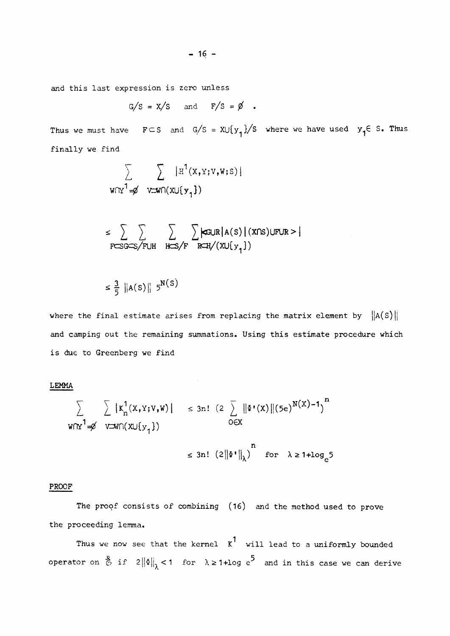and this last expression is zero unless

$$
G/S = X/S
$$
 and  $F/S = \emptyset$ .

Thus we must have  $F \subset S$  and  $G/S = X \cup \{y^1\} / S$  where we have used  $y^1 \in S$ . Thus finally we find

$$
\sum_{\text{WfY}^1 = \cancel{0}} \sum_{\text{V} = \text{Wf}(x \cup \{y_1\})} |\text{H}^1(x, y; v, w; s)|
$$

$$
\leq \sum_{F \subseteq S G \subseteq S/F \cup H} \sum_{H \subseteq S/F} \sum_{R \subseteq H} \text{SGUR}(A(S) | (X \cap S) \cup F \cup R > |
$$

 $\leq \frac{2}{5}$  ||A(S)|| 5"\"'

where the final estimate arises from replacing the matrix element by  $\|A(S)\|$ and camping out the remaining summations. Using this estimate procedure which is due to Greenberg we find

**LEMMA** 

$$
\sum_{\mathbf{W}\cap\mathbf{Y}^1=\emptyset} \sum_{\mathbf{W}\cap(\mathbf{X}\cup\{\mathbf{y}_1\})} |K_n^1(\mathbf{x},\mathbf{y},\mathbf{w})| \le 3n! (2 \sum_{\mathbf{W}\cap\mathbf{Y}} ||\Phi^*(\mathbf{x})|| (5e)^{\mathbf{N}(\mathbf{X})-1})^n
$$
  

$$
\le 3n! (2||\Phi^*||_{\lambda})^n \text{ for } \lambda \ge 1+\log_e 5
$$

#### PROOF

The proof consists of combining (16) and the method used to prove the proceeding lemma.

Thus we now see that the kernel  $x^1$  will lead to a uniformly bounded operator on  $\frac{3}{6}$  if  $2\|\delta\|_{\chi}$  < 1 for  $\lambda \geq 1+ \log e^{5}$  and in this case we can derive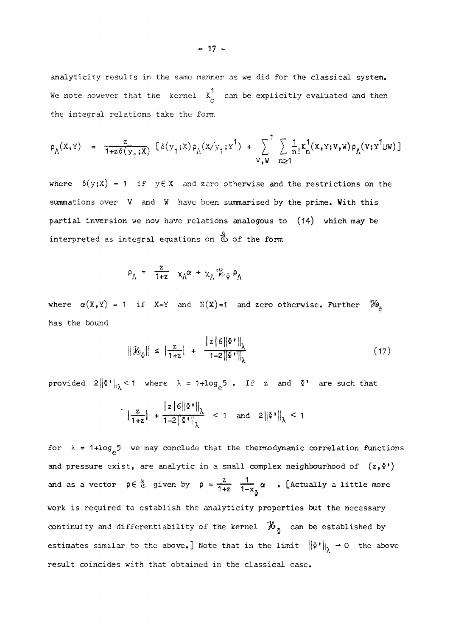analyticity results in the same manner as we did for the classical system. We note however that the kernel  $K_0^1$  can be explicitly evaluated and then the integral relations take the form

$$
\rho_{\Lambda}(x,y) = \frac{z}{1+z\delta(y_{1};x)} [\delta(y_{1};x)\rho_{\Lambda}(x/y_{1};y^{1}) + \sum_{V,W} \sum_{n\geq 1} \frac{1}{n!} K_{n}^{1}(x,y;v,w)\rho_{\Lambda}(v;y^{1} \cup w)]
$$

where  $\delta(y;X) = 1$  if  $y \in X$  and zero otherwise and the restrictions on the summations over V and W have been summarised by the prime. With this partial inversion we now have relations analogous to **(14)** which may be interpreted as integral equations on  $\stackrel{S}{\circ}$  of the form

$$
\rho_{\Lambda} = \frac{z}{1+z} \chi_{\Lambda} \alpha + \chi_{\Lambda} \phi_{\Phi} \phi_{\Lambda}
$$

where  $\alpha(X,Y) = 1$  if  $X=Y$  and  $N(X)=1$  and zero otherwise. Further  $\mathcal{H}_{X}$ has the bound

$$
\|\mathcal{H}_{\xi}\| \leq \left|\frac{z}{1+z}\right| + \frac{\left|z\right|\left|\xi\right|^{2}}{1-2\left\|\xi\right\|}\right|_{\lambda} \tag{17}
$$

provided  $2\|\Phi^*\|_1 < 1$  where  $\lambda = 1 + \log_a 5$  • If z and  $\Phi^*$  are such that

$$
\left\| \frac{z}{1+z} \right\| + \frac{|z|6||\Phi^*||_\lambda}{1-2||\Phi^*||_\lambda} < 1 \quad \text{and} \quad 2||\Phi^*||_\lambda < 1
$$

for  $\lambda = 1 + \log_{e} 5$  we may conclude that the thermodynamic correlation functions and pressure exist, are analytic in a small complex neighbourhood of  $(z, \delta')$ and pressure exist, are analytic in a small complex neighbourhood of  $\mathcal{Z}$  $\mathbf{r} = \mathbf{r} - \mathbf{x}_{\frac{\pi}{2}}$ work is required to establish the analyticity properties but the necessary continuity and differentiability of the kernel  $\mathcal{H}_{5}$  can be established by estimates similar to the above.] Note that in the limit  $\left\|\Phi^{\bullet}\right\|_{\lambda} \to 0$  the above result coincides with that obtained in the classical case.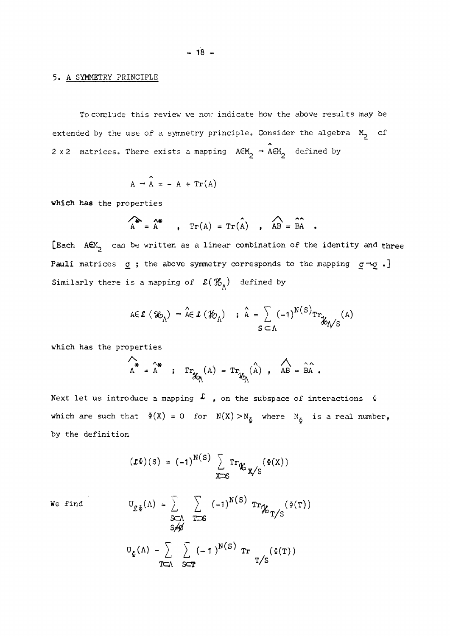#### **5.** A SYMMETRY PRINCIPLE

To corclude this review we nov indicate how the above results may be extended by the use of a symmetry principle. Consider the algebra  $M_2$  cf 2 x 2 matrices. There exists a mapping  $A\epsilon M_{2}$   $\rightarrow$   $A\epsilon M_{2}$  defined by

$$
A \rightarrow \hat{A} = - A + Tr(A)
$$

which has the properties

$$
\widehat{A}^* = \widehat{A}^* \qquad , \quad \operatorname{Tr}(A) = \operatorname{Tr}(\widehat{A}) \qquad , \quad \widehat{AB} = \widehat{BA} \qquad .
$$

[Each  $A\epsilon M^2$  can be written as a linear combination of the identity and three Pauli matrices  $\sigma$ ; the above symmetry corresponds to the mapping  $\sigma \rightarrow \sigma$ .] Similarly there is a mapping of  $\mathfrak{L}(\mathcal{H}_{\Lambda})$  defined by

$$
\text{A}\in\mathcal{L}(\mathscr{X}_{\Lambda})\rightarrow\mathop{\mathsf{A}}^{\wedge}\in\mathcal{L}(\mathscr{X}_{\Lambda})\quad;\quad\mathop{\mathsf{A}}^{\wedge}=\sum_{S\subset\Lambda}(-1)^{N(S)}\text{Tr}_{\mathscr{X}_{\Lambda/S}}(A)
$$

which has the properties

$$
A^* = A^* \; ; \; Tr_{\mathcal{X}_{\Lambda}}(A) = Tr_{\mathcal{X}_{\Lambda}}(\hat{A}) \; , \; AB = \hat{B} \hat{A} \; .
$$

Next let us introduce a mapping  $\mathfrak L$  , on the subspace of interactions  $\delta$ which are such that  $\Phi(X) = 0$  for  $N(X) > N_{\Phi}$  where  $N_{\Phi}$  is a real number, by the definition

$$
(\mathfrak{L}\Phi)(S) = (-1)^{N(S)} \sum_{X \supset S} \mathrm{Tr}_{\mathcal{K}}_{X/S}(\Phi(X))
$$

 $U_{\mathcal{L}\Phi}(\Lambda) = \sum_{\substack{S \subset \Lambda \\ S \neq \emptyset}} \sum_{T \supset S} (-1)^{N(S)} Tr_{\mathcal{K}_{T/S}}(\Phi(T))$ We find  $U_{\Phi}(\Lambda) - \sum_{\mu} (-1)^{N(\mu)} Tr_{\mu}(\Phi(T))$ те **S C T T// S**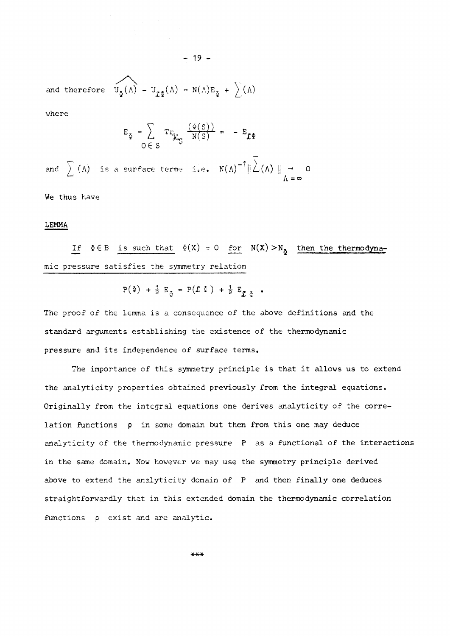and therefore  $U_{\Phi}(\Lambda) - U_{\Phi}(\Lambda) = N(\Lambda)E_{\Phi} + \sum(\Lambda)$ 

where

$$
E_{\xi} = \sum_{O \in S} Tr_{\mathcal{K}_{\xi}} \frac{(\varphi(S))}{N(S)} = -E_{\mathcal{I}^{\xi}}
$$

 $- 19 -$ 

and  $\left. \left. \right\rangle \right.$  (A) is a surface terme i.e.  $N(\Lambda)^{-1} \|\angle(\Lambda)\|$   $\rightarrow$  0  $V = \infty$ 

We thus have

# LEMMA

If  $\Phi \in B$  is such that  $\Phi(X) = 0$  for  $N(X) > N_{\Phi}$  then the thermodynamic pressure satisfies the symmetry relation

$$
P(\Phi) + \frac{1}{2} E_{\Phi} = P(\mathcal{L} \Phi) + \frac{1}{2} E_{\Phi} \Phi
$$

The proof of the lemma is a consequence of the above definitions and the standard arguments establishing the existence of the thermodynamic pressure and its independence of surface terms.

The importance of this symmetry principle is that it allows us to extend the analyticity properties obtained previously from the integral equations. Originally from the integral equations one derives analyticity of the correlation functions **p** in some domain but then from this one may deduce analyticity of the thermodynamic pressure P as a functional of the interactions in the same domain. Now however we may use the symmetry principle derived above to extend the analyticity domain of P and then finally one deduces straightforwardly that in this extended domain the thermodynamic correlation functions  $\rho$  exist and are analytic.